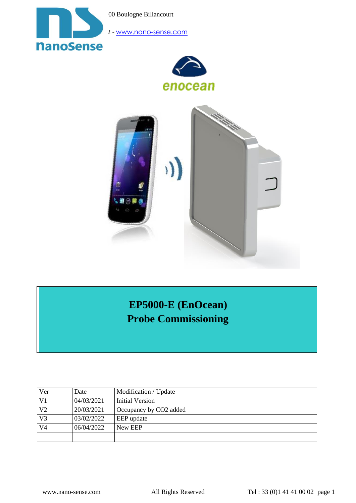00 Boulogne Billancourt



2 - [www.nano-sense.com](http://www.nano-sense.com/)





# **EP5000-E (EnOcean) Probe Commissioning**

| Ver            | Date       | Modification / Update              |
|----------------|------------|------------------------------------|
| V <sub>1</sub> | 04/03/2021 | Initial Version                    |
| V <sub>2</sub> | 20/03/2021 | Occupancy by CO <sub>2</sub> added |
| V <sub>3</sub> | 03/02/2022 | EEP update                         |
| V <sub>4</sub> | 06/04/2022 | New EEP                            |
|                |            |                                    |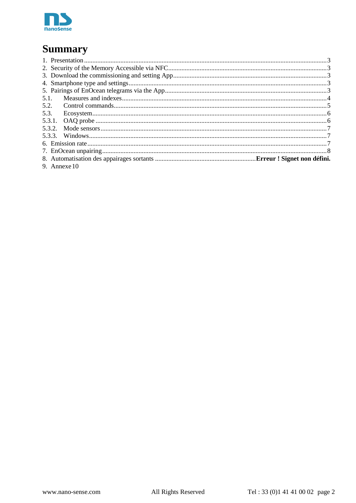

# **Summary**

| 5.1.           |  |
|----------------|--|
| 5.2.           |  |
| 5.3.           |  |
|                |  |
|                |  |
|                |  |
|                |  |
|                |  |
|                |  |
| 9. Annexe $10$ |  |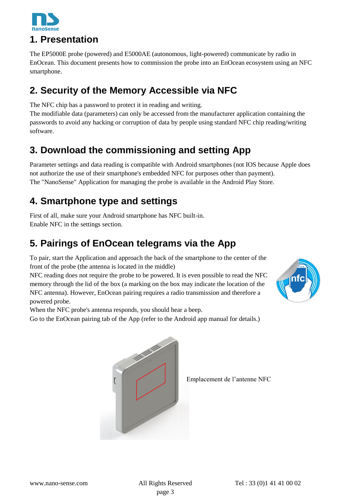

### <span id="page-2-0"></span>**1. Presentation**

The EP5000E probe (powered) and E5000AE (autonomous, light-powered) communicate by radio in EnOcean. This document presents how to commission the probe into an EnOcean ecosystem using an NFC smartphone.

# <span id="page-2-1"></span>**2. Security of the Memory Accessible via NFC**

The NFC chip has a password to protect it in reading and writing.

The modifiable data (parameters) can only be accessed from the manufacturer application containing the passwords to avoid any hacking or corruption of data by people using standard NFC chip reading/writing software.

# <span id="page-2-2"></span>**3. Download the commissioning and setting App**

Parameter settings and data reading is compatible with Android smartphones (not IOS because Apple does not authorize the use of their smartphone's embedded NFC for purposes other than payment). The "NanoSense" Application for managing the probe is available in the Android Play Store.

# <span id="page-2-3"></span>**4. Smartphone type and settings**

First of all, make sure your Android smartphone has NFC built-in. Enable NFC in the settings section.

# <span id="page-2-4"></span>**5. Pairings of EnOcean telegrams via the App**

To pair, start the Application and approach the back of the smartphone to the center of the front of the probe (the antenna is located in the middle)

NFC reading does not require the probe to be powered. It is even possible to read the NFC memory through the lid of the box (a marking on the box may indicate the location of the NFC antenna). However, EnOcean pairing requires a radio transmission and therefore a powered probe.



When the NFC probe's antenna responds, you should hear a beep.

Go to the EnOcean pairing tab of the App (refer to the Android app manual for details.)



Emplacement de l'antenne NFC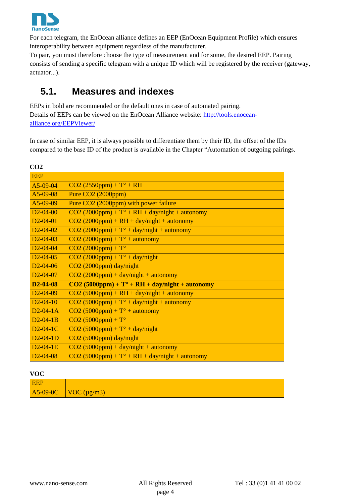

For each telegram, the EnOcean alliance defines an EEP (EnOcean Equipment Profile) which ensures interoperability between equipment regardless of the manufacturer.

To pair, you must therefore choose the type of measurement and for some, the desired EEP. Pairing consists of sending a specific telegram with a unique ID which will be registered by the receiver (gateway, actuator...).

### <span id="page-3-0"></span>**5.1. Measures and indexes**

EEPs in bold are recommended or the default ones in case of automated pairing. Details of EEPs can be viewed on the EnOcean Alliance website: [http://tools.enocean](http://tools.enocean-alliance.org/EEPViewer/)[alliance.org/EEPViewer/](http://tools.enocean-alliance.org/EEPViewer/)

In case of similar EEP, it is always possible to differentiate them by their ID, the offset of the IDs compared to the base ID of the product is available in the Chapter "Automation of outgoing pairings.

| CO <sub>2</sub> |                                                          |
|-----------------|----------------------------------------------------------|
| <b>EEP</b>      |                                                          |
| $A5-09-04$      | $CO2 (2550 ppm) + T^{\circ} + RH$                        |
| $A5-09-08$      | Pure CO2 (2000ppm)                                       |
| $A5-09-09$      | Pure CO2 (2000ppm) with power failure                    |
| $D2 - 04 - 00$  | $CO2 (2000 ppm) + To + RH + day/night + automomy$        |
| $D2 - 04 - 01$  | $CO2 (2000 ppm) + RH + day/night + automomy$             |
| $D2 - 04 - 02$  | $CO2 (2000 ppm) + To + day/night + automomy$             |
| $D2 - 04 - 03$  | $CO2 (2000 ppm) + To + automomy$                         |
| $D2 - 04 - 04$  | $CO2 (2000 ppm) + T^{\circ}$                             |
| $D2 - 04 - 05$  | $CO2 (2000 ppm) + To + day/night$                        |
| $D2 - 04 - 06$  | CO2 (2000ppm) day/night                                  |
| $D2 - 04 - 07$  | $CO2 (2000 ppm) + day/night + automomy$                  |
| $D2 - 04 - 08$  | $CO2 (5000 ppm) + To + RH + day/night + automomy$        |
| $D2 - 04 - 09$  | $CO2 (5000 ppm) + RH + day/night + automomy$             |
| $D2 - 04 - 10$  | $CO2 (5000 ppm) + To + day/night + automomy$             |
| $D2-04-1A$      | $CO2 (5000ppm) + To + automomy$                          |
| $D2-04-1B$      | $CO2 (5000ppm) + To$                                     |
| $D2-04-1C$      | $CO2 (5000 ppm) + To + day/night$                        |
| $D2-04-1D$      | $CO2 (5000 ppm)$ day/night                               |
| $D2-04-1E$      | $CO2 (5000 ppm) + day/night + automomy$                  |
| $D2 - 04 - 08$  | $CO2 (5000 ppm) + T^{\circ} + RH + day/night + automomy$ |

### **VOC**

| <b>EEP</b> |                                            |
|------------|--------------------------------------------|
|            | $\vert$ A5-09-0C $\vert$ VOC ( $\mu$ g/m3) |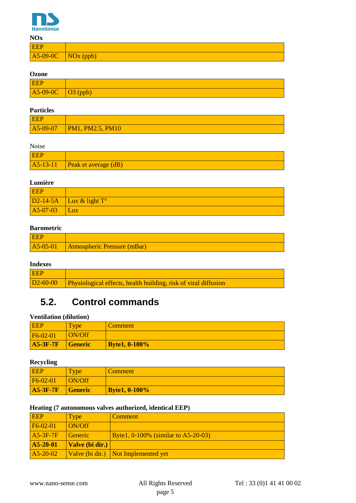

| <b>NOx</b>           |  |
|----------------------|--|
| <b>EEP</b>           |  |
| $AS-09-0C$ NOx (ppb) |  |

#### **Ozone**

| <b>EEP</b>                                                                        |  |
|-----------------------------------------------------------------------------------|--|
| $\Delta 5{\text -}09{\text -}0C$ $\Box$ $\Box$ $\Box$ $\Box$ $\Box$ $\Box$ $\Box$ |  |

### **Particles**

| <b>EEP</b> |                                           |
|------------|-------------------------------------------|
|            | $\overline{AB}$ -09-07   PM1, PM2.5, PM10 |

### Noise

| <b>EEP</b> |                                               |
|------------|-----------------------------------------------|
|            | $\vert$ A5-13-11 $\vert$ Peak et average (dB) |

### **Lumière**

| <b>EEP</b> |                           |
|------------|---------------------------|
|            | $D2-14-5A$ Lux & light T° |
| $A5-07-03$ | Lux                       |

### **Barometric**

| EEP |                                                      |
|-----|------------------------------------------------------|
|     | $\overline{AB}$ -05-01   Atmospheric Pressure (mBar) |

### **Indexes**

| <b>EEP</b> |                                                                          |
|------------|--------------------------------------------------------------------------|
|            | D2-60-00 Physiological effects, health building, risk of viral diffusion |

### <span id="page-4-0"></span>**5.2. Control commands**

### **Ventilation (dilution)**

| <b>EEP</b> | <b>Type</b>    | Comment              |
|------------|----------------|----------------------|
| F6-02-01   | ON/Off         |                      |
| $A5-3F-7F$ | <b>Generic</b> | <b>Byte1, 0-100%</b> |

### **Recycling**

| <b>EEP</b>      | <b>Type</b>    | Comment              |
|-----------------|----------------|----------------------|
| F6-02-01        | <b>ON/Off</b>  |                      |
| <b>A5-3F-7F</b> | <b>Generic</b> | <b>Byte1, 0-100%</b> |

#### **Heating (7 autonomous valves authorized, identical EEP)**

| <b>EEP</b> | Type            | Comment                                |
|------------|-----------------|----------------------------------------|
| $FG-02-01$ | ON/Off          |                                        |
| $A5-3F-7F$ | Generic         | Byte1, $0-100\%$ (similar to A5-20-03) |
| $A5-20-01$ | Valve (bi dir.) |                                        |
| $A5-20-02$ |                 | Valve (bi dir.) Not Implemented yet    |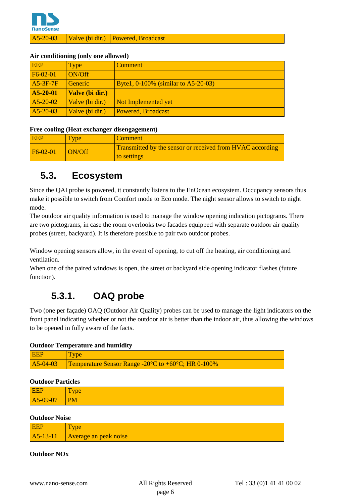

A5-20-03 Valve (bi dir.) Powered, Broadcast

#### **Air conditioning (only one allowed)**

| <b>EEP</b> | Type            | <b>Comment</b>                      |
|------------|-----------------|-------------------------------------|
| F6-02-01   | ON/Off          |                                     |
| $A5-3F-7F$ | <b>Generic</b>  | Byte1, 0-100% (similar to A5-20-03) |
| $A5-20-01$ | Valve (bi dir.) |                                     |
| $A5-20-02$ | Valve (bi dir.) | Not Implemented yet                 |
| $A5-20-03$ | Valve (bi dir.) | Powered, Broadcast                  |

#### **Free cooling (Heat exchanger disengagement)**

| <b>EEP</b> | <b>Type</b>   | <b>Comment</b>                                                                  |
|------------|---------------|---------------------------------------------------------------------------------|
| $F6-02-01$ | <b>ON/Off</b> | <b>Transmitted by the sensor or received from HVAC according</b><br>to settings |

### <span id="page-5-0"></span>**5.3. Ecosystem**

Since the QAI probe is powered, it constantly listens to the EnOcean ecosystem. Occupancy sensors thus make it possible to switch from Comfort mode to Eco mode. The night sensor allows to switch to night mode.

The outdoor air quality information is used to manage the window opening indication pictograms. There are two pictograms, in case the room overlooks two facades equipped with separate outdoor air quality probes (street, backyard). It is therefore possible to pair two outdoor probes.

Window opening sensors allow, in the event of opening, to cut off the heating, air conditioning and ventilation.

When one of the paired windows is open, the street or backyard side opening indicator flashes (future function).

### **5.3.1. OAQ probe**

<span id="page-5-1"></span>Two (one per façade) OAQ (Outdoor Air Quality) probes can be used to manage the light indicators on the front panel indicating whether or not the outdoor air is better than the indoor air, thus allowing the windows to be opened in fully aware of the facts.

### **Outdoor Temperature and humidity**

| EEP | Type                                                                              |
|-----|-----------------------------------------------------------------------------------|
|     | A5-04-03 Temperature Sensor Range -20 $^{\circ}$ C to +60 $^{\circ}$ C; HR 0-100% |

#### **Outdoor Particles**

| EEP      | ౼<br>vpe<br>-          |
|----------|------------------------|
| A5-09-07 | $\overline{\text{PM}}$ |

#### **Outdoor Noise**

|              | vpe                   |
|--------------|-----------------------|
| $ A5-13-11 $ | Average an peak noise |

#### **Outdoor NOx**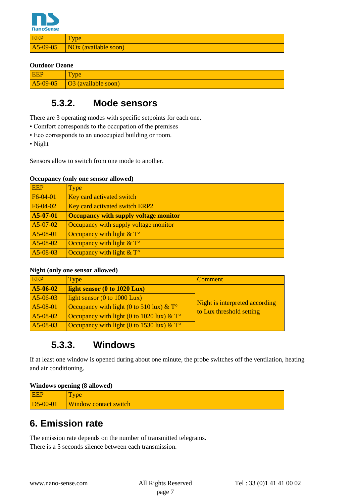

EEP Type A5-09-05 NOx (available soon)

#### **Outdoor Ozone**

| <b>EEP</b> | <b>Type</b>                                             |  |
|------------|---------------------------------------------------------|--|
|            | $\overline{AB}$ -09-05 $\overline{OA}$ (available soon) |  |

### **5.3.2. Mode sensors**

<span id="page-6-0"></span>There are 3 operating modes with specific setpoints for each one.

- Comfort corresponds to the occupation of the premises
- Eco corresponds to an unoccupied building or room.
- Night

Sensors allow to switch from one mode to another.

#### **Occupancy (only one sensor allowed)**

| <b>EEP</b> | Type                                         |
|------------|----------------------------------------------|
| F6-04-01   | Key card activated switch                    |
| $F6-04-02$ | Key card activated switch ERP2               |
| A5-07-01   | <b>Occupancy with supply voltage monitor</b> |
| $A5-07-02$ | Occupancy with supply voltage monitor        |
| A5-08-01   | Occupancy with light $&T^{\circ}$            |
| A5-08-02   | Occupancy with light $& \mathbb{T}^{\circ}$  |
| A5-08-03   | Occupancy with light $& \mathbb{T}^{\circ}$  |

### **Night (only one sensor allowed)**

| <b>EEP</b> | Type                                                                | Comment                                                    |
|------------|---------------------------------------------------------------------|------------------------------------------------------------|
| A5-06-02   | light sensor (0 to 1020 Lux)                                        |                                                            |
| $A5-06-03$ | light sensor $(0 \text{ to } 1000 \text{ Lux})$                     |                                                            |
| $A5-08-01$ | Occupancy with light (0 to 510 lux) $& \mathcal{X}^{\circ}$         | Night is interpreted according<br>to Lux threshold setting |
| A5-08-02   | Occupancy with light (0 to 1020 lux) $& \mathcal{L}$ T <sup>o</sup> |                                                            |
| A5-08-03   | Occupancy with light (0 to 1530 lux) $& \mathcal{L}^{\circ}$        |                                                            |

### **5.3.3. Windows**

<span id="page-6-1"></span>If at least one window is opened during about one minute, the probe switches off the ventilation, heating and air conditioning.

#### **Windows opening (8 allowed)**

| <b>EEP</b>            | <b>vpe</b>                   |
|-----------------------|------------------------------|
| D <sub>5</sub> -00-01 | <b>Window contact switch</b> |

### <span id="page-6-2"></span>**6. Emission rate**

The emission rate depends on the number of transmitted telegrams. There is a 5 seconds silence between each transmission.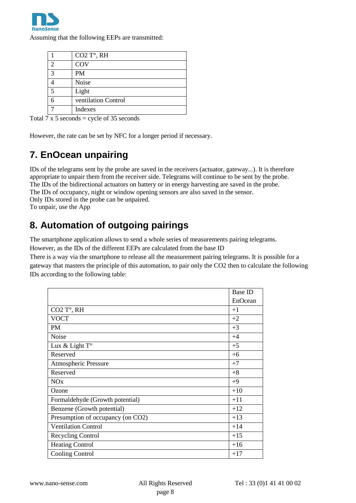

Assuming that the following EEPs are transmitted:

|                        | CO <sub>2</sub> T°, RH |
|------------------------|------------------------|
| 2                      | COV                    |
| $\mathbf{\mathcal{R}}$ | <b>PM</b>              |
|                        | Noise                  |
|                        | Light                  |
|                        | ventilation Control    |
|                        | Indexes                |

Total 7 x 5 seconds = cycle of 35 seconds

However, the rate can be set by NFC for a longer period if necessary.

# <span id="page-7-0"></span>**7. EnOcean unpairing**

IDs of the telegrams sent by the probe are saved in the receivers (actuator, gateway...). It is therefore appropriate to unpair them from the receiver side. Telegrams will continue to be sent by the probe. The IDs of the bidirectional actuators on battery or in energy harvesting are saved in the probe. The IDs of occupancy, night or window opening sensors are also saved in the sensor. Only IDs stored in the probe can be unpaired. To unpair, use the App

# **8. Automation of outgoing pairings**

The smartphone application allows to send a whole series of measurements pairing telegrams.

However, as the IDs of the different EEPs are calculated from the base ID

There is a way via the smartphone to release all the measurement pairing telegrams. It is possible for a gateway that masters the principle of this automation, to pair only the CO2 then to calculate the following IDs according to the following table:

|                                   | <b>Base ID</b> |
|-----------------------------------|----------------|
|                                   | EnOcean        |
| CO <sub>2</sub> T°, RH            | $+1$           |
| <b>VOCT</b>                       | $+2$           |
| <b>PM</b>                         | $+3$           |
| Noise                             | $+4$           |
| Lux & Light T°                    | $+5$           |
| Reserved                          | $+6$           |
| <b>Atmospheric Pressure</b>       | $+7$           |
| Reserved                          | $+8$           |
| <b>NO<sub>x</sub></b>             | $+9$           |
| Ozone                             | $+10$          |
| Formaldehyde (Growth potential)   | $+11$          |
| Benzene (Growth potential)        | $+12$          |
| Presumption of occupancy (on CO2) | $+13$          |
| <b>Ventilation Control</b>        | $+14$          |
| Recycling Control                 | $+15$          |
| <b>Heating Control</b>            | $+16$          |
| <b>Cooling Control</b>            | $+17$          |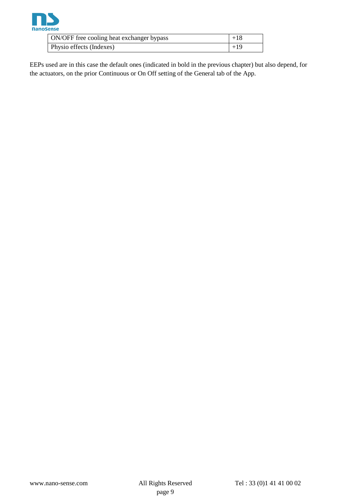

| ON/OFF free cooling heat exchanger bypass | $+18$    |
|-------------------------------------------|----------|
| Physio effects (Indexes)                  | $1 + 19$ |

EEPs used are in this case the default ones (indicated in bold in the previous chapter) but also depend, for the actuators, on the prior Continuous or On Off setting of the General tab of the App.